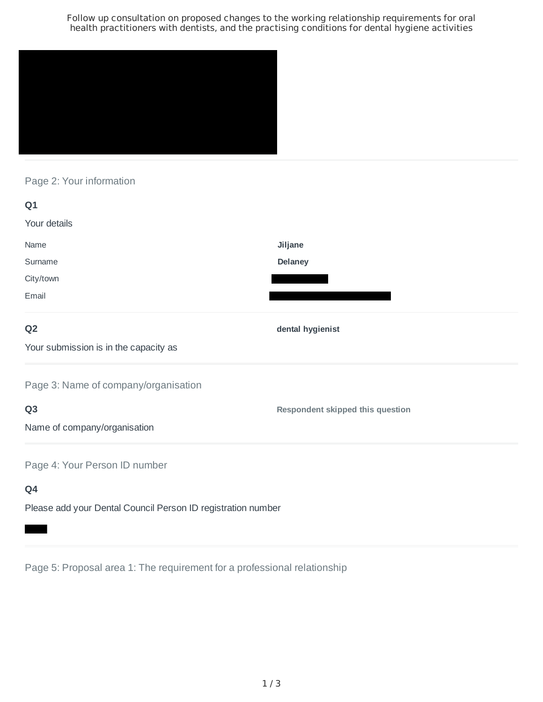Follow up consultation on proposed changes to the working relationship requirements for oral health practitioners with dentists, and the practising conditions for dental hygiene activities



Page 2: Your information

| Q1                                    |                                  |
|---------------------------------------|----------------------------------|
| Your details                          |                                  |
| Name                                  | Jiljane                          |
| Surname                               | <b>Delaney</b>                   |
| City/town                             |                                  |
| Email                                 |                                  |
| Q <sub>2</sub>                        | dental hygienist                 |
| Your submission is in the capacity as |                                  |
| Page 3: Name of company/organisation  |                                  |
| Q <sub>3</sub>                        | Respondent skipped this question |
| Name of company/organisation          |                                  |
| Page 4: Your Person ID number         |                                  |
| Q4                                    |                                  |

Please add your Dental Council Person ID registration number

Page 5: Proposal area 1: The requirement for a professional relationship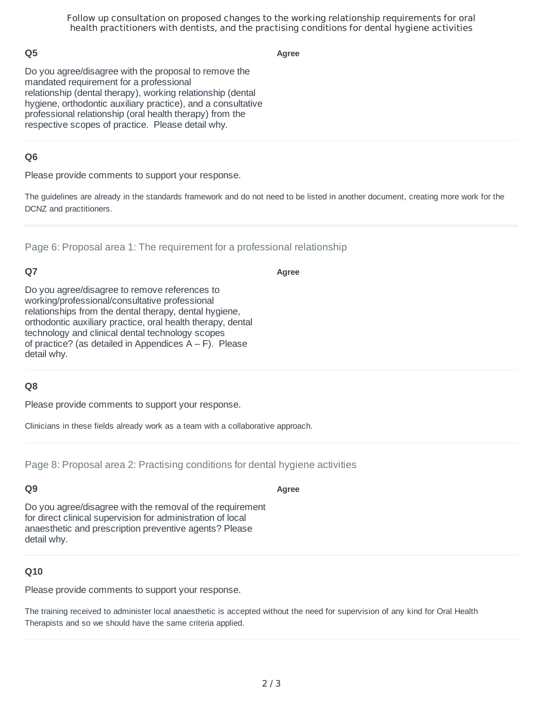Follow up consultation on proposed changes to the working relationship requirements for oral health practitioners with dentists, and the practising conditions for dental hygiene activities

# **Q5**

**Agree**

Do you agree/disagree with the proposal to remove the mandated requirement for a professional relationship (dental therapy), working relationship (dental hygiene, orthodontic auxiliary practice), and a consultative professional relationship (oral health therapy) from the respective scopes of practice. Please detail why.

# **Q6**

Please provide comments to support your response.

The guidelines are already in the standards framework and do not need to be listed in another document, creating more work for the DCNZ and practitioners.

Page 6: Proposal area 1: The requirement for a professional relationship

# **Q7**

**Agree**

**Agree**

Do you agree/disagree to remove references to working/professional/consultative professional relationships from the dental therapy, dental hygiene, orthodontic auxiliary practice, oral health therapy, dental technology and clinical dental technology scopes of practice? (as detailed in Appendices  $A - F$ ). Please detail why.

### **Q8**

Please provide comments to support your response.

Clinicians in these fields already work as a team with a collaborative approach.

Page 8: Proposal area 2: Practising conditions for dental hygiene activities

### **Q9**

Do you agree/disagree with the removal of the requirement for direct clinical supervision for administration of local anaesthetic and prescription preventive agents? Please detail why.

# **Q10**

Please provide comments to support your response.

The training received to administer local anaesthetic is accepted without the need for supervision of any kind for Oral Health Therapists and so we should have the same criteria applied.